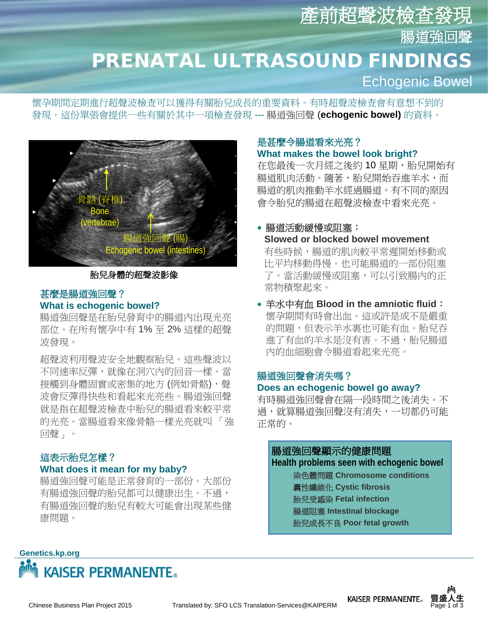# 產前超聲波檢查發 腸道強回聲 PRENATAL ULTRASOUND FINDINGS Echogenic Bowel

常物積聚起來。

懷孕期間定期進行超聲波檢查可以獲得有關胎兒成長的重要資料。有時超聲波檢查會有意想不到的 發現。這份單張會提供一些有關於其中一項檢查發現 --- 腸道強回聲 (**echogenic bowel)** 的資料。



### 胎兒身體的超聲波影像

### 甚麼是腸道強回聲? **What is echogenic bowel?**

腸道強回聲是在胎兒發育中的腸道內出現光亮 部位。在所有懷孕中有 1% 至 2% 這樣的超聲 波發現。

超聲波利用聲波安全地觀察胎兒。這些聲波以 不同速率反彈,就像在洞穴內的回音一樣。當 接觸到身體固實或密集的地方 (例如骨骼),聲 波會反彈得快些和看起來光亮些。腸道強回聲 就是指在超聲波檢查中胎兒的腸道看來較平常 的光亮。當腸道看來像骨骼一樣光亮就叫 「強 回聲」。

## 這表示胎兒怎樣?

### **What does it mean for my baby?**

腸道強回聲可能是正常發育的一部份。大部份 有腸道強回聲的胎兒都可以健康出生。不過, 有腸道強回聲的胎兒有較大可能會出現某些健 康問題。

## 是甚麼令腸道看來光亮? **What makes the bowel look bright?**

在您最後一次月經之後約10星期, 胎兒開始有 腸道肌肉活動。隨著,胎兒開始吞進羊水,而 腸道的肌肉推動羊水經過腸道。有不同的原因 會令胎兒的腸道在超聲波檢查中看來光亮。

## • 腸道活動緩慢或阻塞: **Slowed or blocked bowel movement** 有些時候,腸道的肌肉較平常遲開始移動或 比平均移動得慢。也可能腸道的一部份阻塞 了。當活動緩慢或阻塞,可以引致腸內的正

• 羊水中有血 **Blood in the amniotic fluid**: 懷孕期間有時會出血。這或許是或不是嚴重 的問題,但表示羊水裏也可能有血。胎兒吞 進了有血的羊水是沒有害。不過,胎兒腸道 內的血細胞會令腸道看起來光亮。

## 腸道強回聲會消失嗎? **Does an echogenic bowel go away?**

有時腸道強回聲會在隔一段時間之後消失。不 過,就算腸道強回聲沒有消失,一切都仍可能 正常的。

### 腸道強回聲顯示的健康問題

**Health problems seen with echogenic bowel** 染色體問題 **Chromosome conditions** 囊性纖維化 **Cystic fibrosis** 胎兒受感染 **Fetal infection** 腸道阻塞 **Intestinal blockage** 胎兒成長不良 **Poor fetal growth**

## **Genetics.kp.org AISER PERMANENTE**



![](_page_0_Picture_22.jpeg)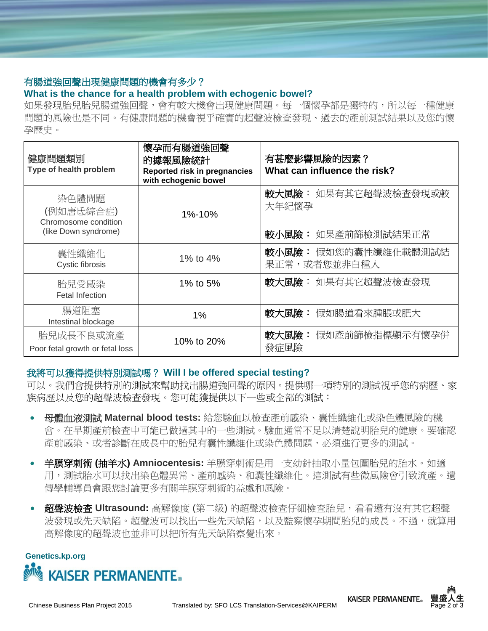## 有腸道強回聲出現健康問題的機會有多少?

## **What is the chance for a health problem with echogenic bowel?**

如果發現胎兒胎兒腸道強回聲,會有較大機會出現健康問題。每一個懷孕都是獨特的,所以每一種健康 問題的風險也是不同。有健康問題的機會視乎確實的超聲波檢查發現、過去的產前測試結果以及您的懷 孕歷史。

| 健康問題類別<br>Type of health problem                                   | 懷孕而有腸道強回聲<br>的據報風險統計<br>Reported risk in pregnancies<br>with echogenic bowel | 有甚麼影響風險的因素?<br>What can influence the risk?         |
|--------------------------------------------------------------------|------------------------------------------------------------------------------|-----------------------------------------------------|
| 染色體問題<br>(例如唐氏綜合症)<br>Chromosome condition<br>(like Down syndrome) | 1%-10%                                                                       | 較大風險: 如果有其它超聲波檢查發現或較<br>大年紀懷孕<br>較小風險: 如果產前篩檢測試結果正常 |
| 囊性纖維化<br>Cystic fibrosis                                           | 1% to 4%                                                                     | 較小風險: 假如您的囊性纖維化載體測試結<br>果正常,或者您並非白種人                |
| 胎兒受感染<br><b>Fetal Infection</b>                                    | 1% to 5%                                                                     | 較大風險: 如果有其它超聲波檢查發現                                  |
| 腸道阻塞<br>Intestinal blockage                                        | 1%                                                                           | 較大風險: 假如腸道看來腫脹或肥大                                   |
| 胎兒成長不良或流產<br>Poor fetal growth or fetal loss                       | 10% to 20%                                                                   | 較大風險:<br>假如產前篩檢指標顯示有懷孕併<br>發症風險                     |

## 我將可以獲得提供特別測試嗎? **Will I be offered special testing?**

可以。我們會提供特別的測試來幫助找出腸道強回聲的原因。提供哪一項特別的測試視乎您的病歷、家 族病歷以及您的超聲波檢查發現。您可能獲提供以下一些或全部的測試:

- 母體血液測試 **Maternal blood tests:** 給您驗血以檢查產前感染、囊性纖維化或染色體風險的機 會。在早期產前檢查中可能已做過其中的一些測試。驗血通常不足以清楚說明胎兒的健康。要確認 產前感染、或者診斷在成長中的胎兒有囊性纖維化或染色體問題,必須進行更多的測試。
- 羊膜穿刺術 **(**抽羊水**) Amniocentesis:** 羊膜穿刺術是用一支幼針抽取小量包圍胎兒的胎水。如適 用,測試胎水可以找出染色體異常、產前感染、和囊性纖維化。這測試有些微風險會引致流產。遺 傳學輔導員會跟您討論更多有關羊膜穿刺術的益處和風險。
- 超聲波檢查 **Ultrasound:** 高解像度 (第二級) 的超聲波檢查仔細檢查胎兒,看看還有沒有其它超聲 波發現或先天缺陷。超聲波可以找出一些先天缺陷,以及監察懷孕期間胎兒的成長。不過,就算用 高解像度的超聲波也並非可以把所有先天缺陷察覺出來。

### **Genetics.kp.org**

![](_page_1_Picture_10.jpeg)

![](_page_1_Picture_13.jpeg)